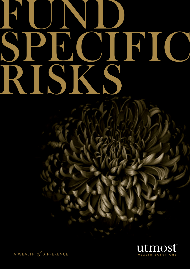# RUND, SPE CIRIC RISKS



A WEALTH  $of$  DIFFERENCE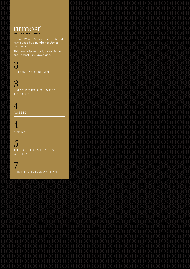### utmost WEALTH SOLUTIONS

Utmost Wealth Solutions is the brand name used by a number of Utmost companies.

This item is issued by Utmost Limited and Utmost PanEurope dac.

3 B E FORE YOU BEGIN

3 WHAT DOES RISK MEAN to you?

4 **ASSETS** 

4 **FUNDS** 

5 THE DIFFERENT TYPES OF RISK

7 FURTHER INFORMATION

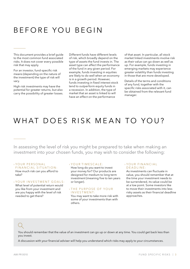# BEFORE YOU BEGIN

This document provides a brief guide to the most common fund associated risks. It does not cover every possible risk that may apply.

For an investor, fund-specific risk means (depending on the nature of the investment) the type of risk will vary.

High risk investments may have the potential for greater returns, but also carry the possibility of greater losses. Different funds have different levels of risk, which broadly depend on the type of assets the fund invests in. The asset type can affect the performance of the fund in any given period. For example, funds investing in equities are likely to do well when an economy is in a growth period. However, funds investing in fixed interest stock tend to outperform equity funds in a recession. In addition, the type of market that an asset is linked to will have an effect on the performance

of that asset. In particular, all stock market linked investments involve risk as their value can go down as well as up. For example, funds investing in emerging markets may experience greater volatility than funds investing in those that are more developed.

Details of the terms and conditions of any fund, together with the specific risks associated with it, can be obtained from the relevant fund manager.

## WHAT DOES RISK MEAN TO YOU?

In assessing the level of risk you might be prepared to take when making an investment into your chosen funds, you may wish to consider the following:

#### › YOUR PERSONA L FINANCIAL SITUATION:

How much risk can you afford to take?

#### › YOUR IN V ESTMENT GOA L S :

What level of potential return would you like from your investment and are you happy with the level of risk needed to get there?

#### › YOUR TIMES C A L E :

How long do you want to invest your money for? Our products are designed for medium to long term investment (meaning five to ten years or longer).

#### › THE PURPOSE OF YOUR IN V ESTMENT:

You may want to take more risk with some of your investments than with others.

#### › YOUR FINAN C IA L DEAD LINE:

As investments can fluctuate in value, you should remember that at the time your investment needs to be surrendered, its value could be at a low point. Some investors like to move their investments into less risky assets as their financial deadline approaches.

You should remember that the value of an investment can go up or down at any time. You could get back less than you invest.

A discussion with your financial adviser will help you understand which risks may apply to your circumstances.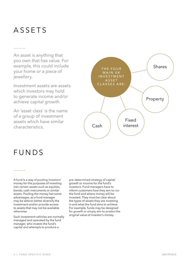## **ASSETS**

An asset is anything that you own that has value. For example, this could include your home or a piece of jewellery.

Investment assets are assets which investors may hold to generate income and/or achieve capital growth.

An 'asset class' is the name of a group of investment assets which have similar characteristics.



## FUNDS

A fund is a way of pooling investors' money for the purposes of investing into certain assets such as equities, bonds, cash instruments or similar assets. Pooling the money has some advantages, as a fund manager may be able to better diversify the investment and/or provide access to assets that may not be available otherwise.

Such investment vehicles are normally managed and operated by the fund manager, who invests the fund's capital and attempts to produce a

pre-determined strategy of capital growth or income for the fund's investors. Fund managers have to inform customers how they aim to run the fund and where money will be invested. They must be clear about the types of assets they are investing in and what the fund aims to achieve. For example, funds may be designed for growth or simply aim to protect the original value of investor's money.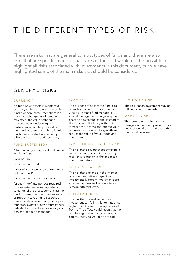# THE DIFFERENT TYPES OF RISK

There are risks that are general to most types of funds and there are also risks that are specific to individual types of funds. It would not be possible to highlight all risks associated with investments in this document, but we have highlighted some of the main risks that should be considered.

## GENFRAL RISKS

#### C URREN C Y

If a fund holds assets in a different currency to the currency in which the fund is denominated, then there is a risk that exchange rate fluctuations may affect the value of the fund, irrespective of underlying asset performance. Similarly, the value of the bond may fluctuate where it holds funds denominated in a currency different from the bond's currency.

#### FUND SUSPENSION

A fund manager may need to delay, in whole or in part:

- › a valuation
- › calculation of unit price
- › allocation, cancellation or exchange of units, and/or
- › any payment of fund holdings

for such indefinite periods required to complete the necessary sale or valuation of the assets comprising the fund. This may be due to issues such as property sale or fund suspension due to political, economic, military or monetary events or any circumstances outside the control, responsibility and power of the fund manager.

#### IN C OME

The purpose of an income fund is to provide income from investments. One risk is that a fund manager's annual management charge may be charged against the capital instead of the income of the fund, as this might increase the income and quoted yield but may constrain capital growth and reduce the value of your underlying investment.

#### INVESTMENT-SPECIFIC RISK

The risk that circumstances affecting a particular company or industry might result in a reduction in the expected investment return.

#### INTEREST RATE RISK

The risk that a change in the interest rate could negatively impact your investment. Different investments are affected by rises and falls in interest rates in different ways.

#### INFLATION RISK

The risk that the real value of an investment can fall if inflation rates rise higher than the return being received from it. The effect would mean that the purchasing power of any income, or capital, received would be eroded.

#### LIQUIDITY RISK

The risk that an investment may be difficult to sell or encash.

#### MARKET RISK

This term refers to the risk that changes in the bond, property, cash and stock markets could cause the fund to fall in value.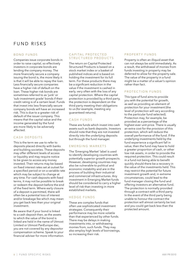## FUND RISKS

#### B OND FUNDS

Companies issue corporate bonds in order to raise capital, so effectively investors in corporate bonds are lending the company money. The more financially secure a company issuing the bond is, the more likely it is that it will be able to repay the loan. Less financially secure companies have a higher risk of default on the loan. These higher risk bonds are sometimes referred to as 'junk' or 'sub-investment grade' bonds if their credit rating is of a certain level. Funds that invest into less financially secure company bonds will have an increased risk. This is due to a greater risk of default of the issuer company. This means that the capital value and the income generated by the fund are more likely to be adversely affected.

#### C ASH DEPOSITS

This is the term we use to refer to deposits placed directly with banks and building societies. These deposits may offer different levels of access or liquidity and may require notice to be given to access any money invested. Their returns may be based on fixed interest rates set at outset for a specified period or on a variable rate which may be subject to change at any time. For cash deposits with fixed terms, it may not be possible to break or redeem the deposit before the end of the fixed term. Where early closure of a deposit is permitted, there will often be a potential loss of interest and/or breakage fee which may mean you get back less than your original investment.

Be aware that if your bond is linked to a cash deposit then, as the assets to which the value of the bond is linked are held in the name of Utmost Limited or Utmost PanEurope dac, you are not covered by any depositor compensation scheme. Speak to your financial adviser for more information.

#### CAPITAL PROTECTED STRUCTURED PRODUCTS

The return on Capital Protected Structured Products is based on a stock market index or a basket of published indices and is based on holding the investment for its full term. For these products there may be a significant reduction in the value if the investment is cashed in early, very often with the loss of any capital protection. Where the capital protection is provided by a third party, the protection is dependent on the third party meeting their obligations to us (for example, meeting any guaranteed returns).

#### C ASH FUNDS

These are funds which invest into cash assets such as bank deposits. Investors should note that they are not invested directly into the underlying deposits but through the fund manager.

#### EMERGING MARKETS

The 'Emerging Market' label is used to identify developing countries with potentially superior growth prospects. However, developing countries may also be vulnerable to political and economic instability and are in the process of building their industrial and commercial infrastructures. Any investment in Emerging Market funds should be considered to carry a higher level of risk than investing in more established markets.

#### HEDGE FUNDS

These are complex funds that often use sophisticated investment strategies. Consequently their performance may be more volatile than that experienced by other funds. There may be delays in making investments into, or withdrawing monies from, such funds. They may also employ high levels of borrowings, so increasing their risk.

#### PROPERTY FUNDS

Property is often an illiquid asset that can not always be sold immediately. As a result, the withdrawal of monies from funds investing in property may be deferred to allow for the property sale. The value of the property in a fund might be a matter of a valuer's opinion rather than fact.

#### PROTECTION FUNDS

This type of fund aims to provide you with the potential for growth, as well as providing an element of protection for your investment (the level of protection will vary according to the particular fund selected). Protection may, for example, be provided as a percentage of the highest ever unit price. There is usually an extra cost for the provision of this protection, which will reduce the overall performance of the fund. If the underlying investments held by the fund experience a significant fall in value, then the fund may have to hold a greater proportion of cash, or other low risk assets, in order to provide the required protection. This could result in a fund not being able to benefit quickly should there be a recovery in the value of the investments held. This may restrict the potential for future investment growth and, in extreme circumstances, could lead to the fund manager closing the fund and offering investors an alternative fund. The protection is normally provided through a contract with a third party. In the event of the third party being unable to honour the contract the protection will almost certainly be lost and you could get back less than the protected amount.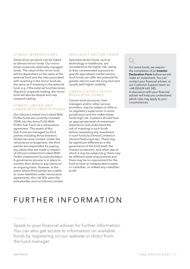#### UTMOST MIRROR FUNDS

Some of our products can be linked to Utmost mirror funds. Our mirror funds invest into externally managed funds. The value of the mirror fund will be dependent on the value of the external fund and the risks associated with investing in the mirror fund are the same as if investing in the external fund, e.g. if the external fund becomes illiquid or suspends trading, the mirror fund will also be illiquid and may suspend trading.

#### UTMOST LIMITED UNIT-LINKED WITH PROFITS FUNDS

Our Utmost Limited Unit-Linked With Profits funds are currently invested 100% into the Aviva FLAS With-Profits Sub-Fund via a reinsurance agreement. The assets of this Sub-Fund are managed by third parties including Aviva Investors Global Services Limited. Under the reinsurance arrangement, the third parties are responsible for paying any claims that are made in respect of Utmost Limited Unit-Linked With Profits investments by policyholders. A governance process is in place to monitor their ability to pay claims on an ongoing basis. However, in the event where third parties are unable to cover liabilities under reinsurance agreements, this risk falls upon the policyholder and not Utmost Limited.

#### SPECIALIST SECTOR FUNDS

Specialist sector funds, such as technology or healthcare, are considered to be higher risk, owing to their concentrated exposure to specific specialised market sectors. Such funds can offer the potential for greater returns over the long-term but usually with higher volatility.

#### UNREGULATED/LIGHTLY REGUI ATED FUNDS

Certain fund structures, their managers and/or other service providers, may be subject to little or no regulatory supervision in some jurisdictions and this makes these funds high risk. Investors should have an appropriate level of investment experience and understand the risk of investing in such funds before requesting any investment in such funds by Utmost Limited or Utmost PanEurope dac. There may be significant differences in the governance of the fund itself, the investor protection, and other laws to which it may be subject (e.g. there may be different audit requirements and there may be no requirement for the fund to have an independent trustee or custodian, or indeed any custodian at all).

For some funds, we require the completion of an Investor Declaration Form before we will make an investment. You can contact your financial adviser, or our Customer Support team on +44 (0)1624 643 345. A discussion with your financial adviser will help you understand which risks may apply to your circumstances.

# FURTHER INFORMATION

Speak to your financial adviser for further information. You can also get access to information on available funds by registering on our website or direct from the fund manager.